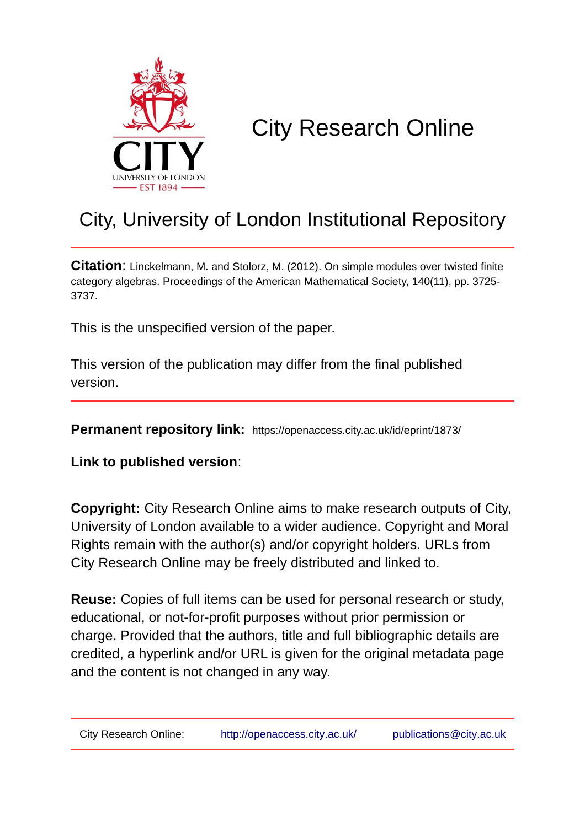

# City Research Online

## City, University of London Institutional Repository

**Citation**: Linckelmann, M. and Stolorz, M. (2012). On simple modules over twisted finite category algebras. Proceedings of the American Mathematical Society, 140(11), pp. 3725- 3737.

This is the unspecified version of the paper.

This version of the publication may differ from the final published version.

**Permanent repository link:** https://openaccess.city.ac.uk/id/eprint/1873/

**Link to published version**:

**Copyright:** City Research Online aims to make research outputs of City, University of London available to a wider audience. Copyright and Moral Rights remain with the author(s) and/or copyright holders. URLs from City Research Online may be freely distributed and linked to.

**Reuse:** Copies of full items can be used for personal research or study, educational, or not-for-profit purposes without prior permission or charge. Provided that the authors, title and full bibliographic details are credited, a hyperlink and/or URL is given for the original metadata page and the content is not changed in any way.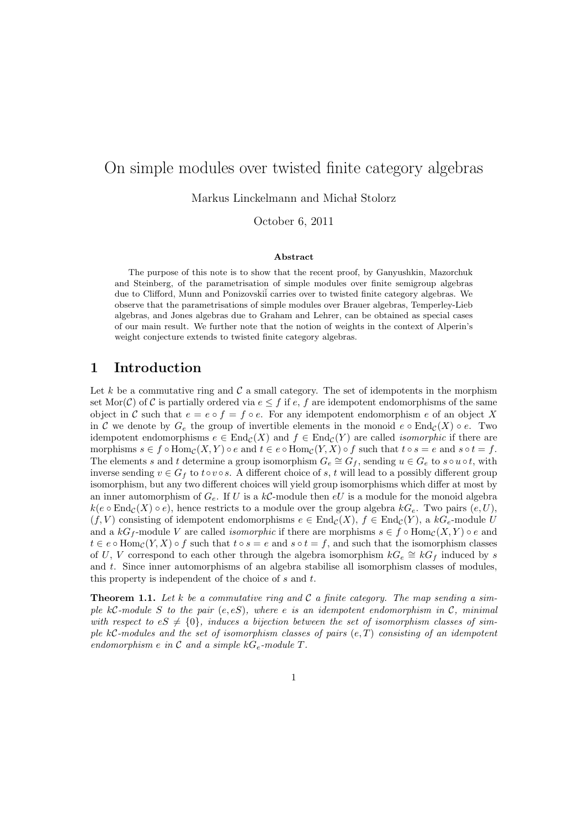### On simple modules over twisted finite category algebras

Markus Linckelmann and Michał Stolorz

October 6, 2011

#### Abstract

The purpose of this note is to show that the recent proof, by Ganyushkin, Mazorchuk and Steinberg, of the parametrisation of simple modules over finite semigroup algebras due to Clifford, Munn and Ponizovskii carries over to twisted finite category algebras. We observe that the parametrisations of simple modules over Brauer algebras, Temperley-Lieb algebras, and Jones algebras due to Graham and Lehrer, can be obtained as special cases of our main result. We further note that the notion of weights in the context of Alperin's weight conjecture extends to twisted finite category algebras.

#### 1 Introduction

Let k be a commutative ring and  $\mathcal C$  a small category. The set of idempotents in the morphism set Mor(C) of C is partially ordered via  $e \leq f$  if e, f are idempotent endomorphisms of the same object in C such that  $e = e \circ f = f \circ e$ . For any idempotent endomorphism e of an object X in C we denote by  $G_e$  the group of invertible elements in the monoid  $e \circ \text{End}_{\mathcal{C}}(X) \circ e$ . Two idempotent endomorphisms  $e \in \text{End}_{\mathcal{C}}(X)$  and  $f \in \text{End}_{\mathcal{C}}(Y)$  are called *isomorphic* if there are morphisms  $s \in f \circ \text{Hom}_{\mathcal{C}}(X, Y) \circ e$  and  $t \in e \circ \text{Hom}_{\mathcal{C}}(Y, X) \circ f$  such that  $t \circ s = e$  and  $s \circ t = f$ . The elements s and t determine a group isomorphism  $G_e \cong G_f$ , sending  $u \in G_e$  to so  $u \circ t$ , with inverse sending  $v \in G_f$  to  $t \circ v \circ s$ . A different choice of s, t will lead to a possibly different group isomorphism, but any two different choices will yield group isomorphisms which differ at most by an inner automorphism of  $G_e$ . If U is a  $k\mathcal{C}\text{-module then }eU$  is a module for the monoid algebra  $k(e \circ \text{End}_{\mathcal{C}}(X) \circ e)$ , hence restricts to a module over the group algebra  $kG_e$ . Two pairs  $(e, U)$ ,  $(f, V)$  consisting of idempotent endomorphisms  $e \in \text{End}_{\mathcal{C}}(X), f \in \text{End}_{\mathcal{C}}(Y),$  a  $kG_e$ -module U and a  $kG_f$ -module V are called *isomorphic* if there are morphisms  $s \in f \circ \text{Hom}_{\mathcal{C}}(X, Y) \circ e$  and  $t \in e \circ \text{Hom}_{\mathcal{C}}(Y, X) \circ f$  such that  $t \circ s = e$  and  $s \circ t = f$ , and such that the isomorphism classes of U, V correspond to each other through the algebra isomorphism  $kG_e \cong kG_f$  induced by s and t. Since inner automorphisms of an algebra stabilise all isomorphism classes of modules, this property is independent of the choice of s and t.

Theorem 1.1. *Let* k *be a commutative ring and* C *a finite category. The map sending a simple* kC*-module* S *to the pair* (e, eS)*, where* e *is an idempotent endomorphism in* C*, minimal* with respect to  $eS \neq \{0\}$ , induces a bijection between the set of isomorphism classes of sim*ple* kC*-modules and the set of isomorphism classes of pairs* (e, T) *consisting of an idempotent endomorphism*  $e$  *in*  $C$  *and a simple*  $kG_e$ *-module*  $T$ *.*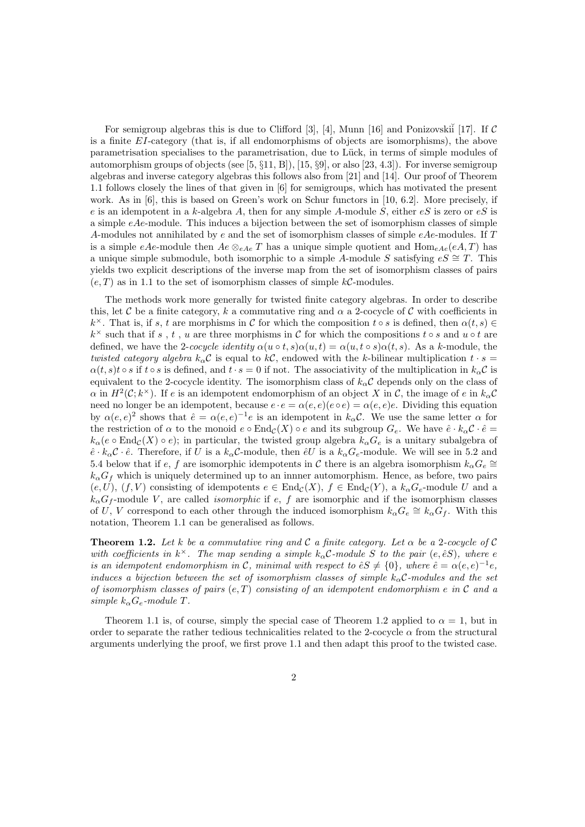For semigroup algebras this is due to Clifford [3], [4], Munn [16] and Ponizovski $\tilde{i}$  [17]. If C is a finite EI-category (that is, if all endomorphisms of objects are isomorphisms), the above parametrisation specialises to the parametrisation, due to Lück, in terms of simple modules of automorphism groups of objects (see  $[5, \S11, B]$ ),  $[15, \S9]$ , or also  $[23, 4.3]$ ). For inverse semigroup algebras and inverse category algebras this follows also from [21] and [14]. Our proof of Theorem 1.1 follows closely the lines of that given in [6] for semigroups, which has motivated the present work. As in [6], this is based on Green's work on Schur functors in [10, 6.2]. More precisely, if e is an idempotent in a k-algebra A, then for any simple A-module S, either  $eS$  is zero or  $eS$  is a simple  $eAe$ -module. This induces a bijection between the set of isomorphism classes of simple A-modules not annihilated by e and the set of isomorphism classes of simple  $eAe$ -modules. If T is a simple eAe-module then  $Ae \otimes_{eAe} T$  has a unique simple quotient and  $\text{Hom}_{eAe}(eA, T)$  has a unique simple submodule, both isomorphic to a simple A-module S satisfying  $eS \cong T$ . This yields two explicit descriptions of the inverse map from the set of isomorphism classes of pairs  $(e, T)$  as in 1.1 to the set of isomorphism classes of simple kC-modules.

The methods work more generally for twisted finite category algebras. In order to describe this, let C be a finite category, k a commutative ring and  $\alpha$  a 2-cocycle of C with coefficients in  $k^{\times}$ . That is, if s, t are morphisms in C for which the composition t o s is defined, then  $\alpha(t,s) \in$  $k^{\times}$  such that if s, t, u are three morphisms in C for which the compositions t ∘ s and u ∘ t are defined, we have the 2-*cocycle identity*  $\alpha(u \circ t, s)\alpha(u, t) = \alpha(u, t \circ s)\alpha(t, s)$ . As a k-module, the *twisted category algebra*  $k_{\alpha}C$  is equal to kC, endowed with the k-bilinear multiplication  $t \cdot s =$  $\alpha(t, s)t \circ s$  if  $t \circ s$  is defined, and  $t \cdot s = 0$  if not. The associativity of the multiplication in  $k_{\alpha}C$  is equivalent to the 2-cocycle identity. The isomorphism class of  $k_{\alpha}C$  depends only on the class of  $\alpha$  in  $H^2(\mathcal{C}; k^\times)$ . If e is an idempotent endomorphism of an object X in C, the image of e in  $k_\alpha\mathcal{C}$ need no longer be an idempotent, because  $e \cdot e = \alpha(e, e)(e \circ e) = \alpha(e, e)e$ . Dividing this equation by  $\alpha(e,e)^2$  shows that  $\hat{e} = \alpha(e,e)^{-1}e$  is an idempotent in  $k_\alpha C$ . We use the same letter  $\alpha$  for the restriction of  $\alpha$  to the monoid  $e \circ \text{End}_{\mathcal{C}}(X) \circ e$  and its subgroup  $G_e$ . We have  $\hat{e} \cdot k_\alpha \mathcal{C} \cdot \hat{e} =$  $k_{\alpha}$ (e  $\circ$  End<sub>C</sub>(X)  $\circ$  e); in particular, the twisted group algebra  $k_{\alpha}G_e$  is a unitary subalgebra of  $\hat{e} \cdot k_\alpha C \cdot \hat{e}$ . Therefore, if U is a  $k_\alpha C$ -module, then  $\hat{e}U$  is a  $k_\alpha C_e$ -module. We will see in 5.2 and 5.4 below that if e, f are isomorphic idempotents in C there is an algebra isomorphism  $k_{\alpha}G_e \cong$  $k_{\alpha}G_f$  which is uniquely determined up to an innner automorphism. Hence, as before, two pairs  $(e, U)$ ,  $(f, V)$  consisting of idempotents  $e \in \text{End}_{\mathcal{C}}(X)$ ,  $f \in \text{End}_{\mathcal{C}}(Y)$ , a  $k_{\alpha}G_e$ -module U and a  $k_{\alpha}G_f$ -module V, are called *isomorphic* if e, f are isomorphic and if the isomorphism classes of U, V correspond to each other through the induced isomorphism  $k_{\alpha}G_e \cong k_{\alpha}G_f$ . With this notation, Theorem 1.1 can be generalised as follows.

Theorem 1.2. *Let* k *be a commutative ring and* C *a finite category. Let* α *be a* 2*-cocycle of* C with coefficients in  $k^{\times}$ . The map sending a simple  $k_{\alpha}$ C-module S to the pair  $(e, \hat{e}S)$ , where e *is an idempotent endomorphism in* C, minimal with respect to  $\hat{e}S \neq \{0\}$ , where  $\hat{e} = \alpha(e,e)^{-1}e$ , *induces a bijection between the set of isomorphism classes of simple*  $k_{\alpha}C$ -modules and the set *of isomorphism classes of pairs* (e, T) *consisting of an idempotent endomorphism* e *in* C *and a simple*  $k_{\alpha}G_e$ -module T.

Theorem 1.1 is, of course, simply the special case of Theorem 1.2 applied to  $\alpha = 1$ , but in order to separate the rather tedious technicalities related to the 2-cocycle  $\alpha$  from the structural arguments underlying the proof, we first prove 1.1 and then adapt this proof to the twisted case.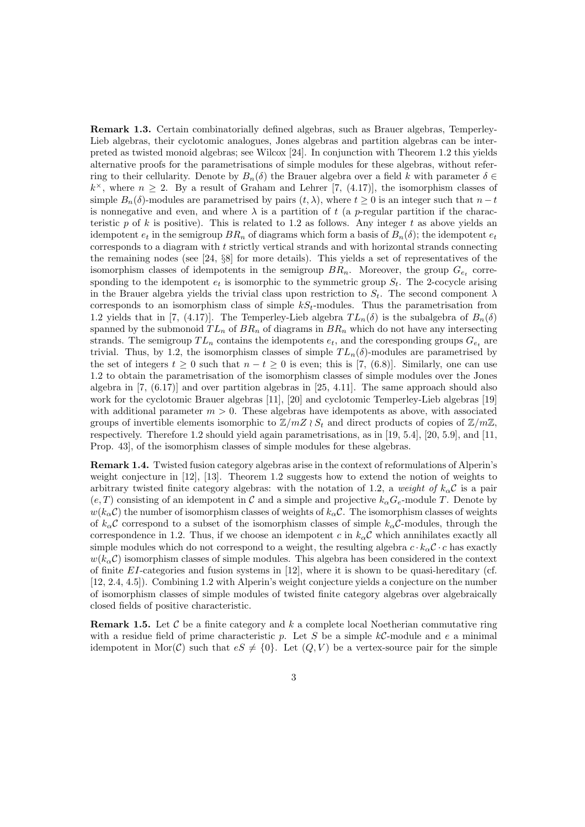Remark 1.3. Certain combinatorially defined algebras, such as Brauer algebras, Temperley-Lieb algebras, their cyclotomic analogues, Jones algebras and partition algebras can be interpreted as twisted monoid algebras; see Wilcox [24]. In conjunction with Theorem 1.2 this yields alternative proofs for the parametrisations of simple modules for these algebras, without referring to their cellularity. Denote by  $B_n(\delta)$  the Brauer algebra over a field k with parameter  $\delta \in$  $k^{\times}$ , where  $n \geq 2$ . By a result of Graham and Lehrer [7, (4.17)], the isomorphism classes of simple  $B_n(\delta)$ -modules are parametrised by pairs  $(t, \lambda)$ , where  $t \geq 0$  is an integer such that  $n-t$ is nonnegative and even, and where  $\lambda$  is a partition of t (a p-regular partition if the characteristic  $p$  of  $k$  is positive). This is related to 1.2 as follows. Any integer  $t$  as above yields an idempotent  $e_t$  in the semigroup  $BR_n$  of diagrams which form a basis of  $B_n(\delta)$ ; the idempotent  $e_t$ corresponds to a diagram with  $t$  strictly vertical strands and with horizontal strands connecting the remaining nodes (see [24, §8] for more details). This yields a set of representatives of the isomorphism classes of idempotents in the semigroup  $BR_n$ . Moreover, the group  $G_{e_t}$  corresponding to the idempotent  $e_t$  is isomorphic to the symmetric group  $S_t$ . The 2-cocycle arising in the Brauer algebra yields the trivial class upon restriction to  $S_t$ . The second component  $\lambda$ corresponds to an isomorphism class of simple  $kS_t$ -modules. Thus the parametrisation from 1.2 yields that in [7, (4.17)]. The Temperley-Lieb algebra  $TL_n(\delta)$  is the subalgebra of  $B_n(\delta)$ spanned by the submonoid  $TL_n$  of  $BR_n$  of diagrams in  $BR_n$  which do not have any intersecting strands. The semigroup  $TL_n$  contains the idempotents  $e_t$ , and the coresponding groups  $G_{e_t}$  are trivial. Thus, by 1.2, the isomorphism classes of simple  $TL_n(\delta)$ -modules are parametrised by the set of integers  $t \geq 0$  such that  $n - t \geq 0$  is even; this is [7, (6.8)]. Similarly, one can use 1.2 to obtain the parametrisation of the isomorphism classes of simple modules over the Jones algebra in [7, (6.17)] and over partition algebras in [25, 4.11]. The same approach should also work for the cyclotomic Brauer algebras [11], [20] and cyclotomic Temperley-Lieb algebras [19] with additional parameter  $m > 0$ . These algebras have idempotents as above, with associated groups of invertible elements isomorphic to  $\mathbb{Z}/m\mathbb{Z} \wr S_t$  and direct products of copies of  $\mathbb{Z}/m\mathbb{Z}$ , respectively. Therefore 1.2 should yield again parametrisations, as in [19, 5.4], [20, 5.9], and [11, Prop. 43], of the isomorphism classes of simple modules for these algebras.

Remark 1.4. Twisted fusion category algebras arise in the context of reformulations of Alperin's weight conjecture in [12], [13]. Theorem 1.2 suggests how to extend the notion of weights to arbitrary twisted finite category algebras: with the notation of 1.2, a *weight of*  $k_{\alpha}C$  is a pair  $(e, T)$  consisting of an idempotent in C and a simple and projective  $k_{\alpha}G_{e}$ -module T. Denote by  $w(k_{\alpha}C)$  the number of isomorphism classes of weights of  $k_{\alpha}C$ . The isomorphism classes of weights of  $k_{\alpha}C$  correspond to a subset of the isomorphism classes of simple  $k_{\alpha}C$ -modules, through the correspondence in 1.2. Thus, if we choose an idempotent c in  $k_{\alpha}$ C which annihilates exactly all simple modules which do not correspond to a weight, the resulting algebra  $c \cdot k_{\alpha} C \cdot c$  has exactly  $w(k_{\alpha}C)$  isomorphism classes of simple modules. This algebra has been considered in the context of finite  $EI$ -categories and fusion systems in [12], where it is shown to be quasi-hereditary (cf. [12, 2.4, 4.5]). Combining 1.2 with Alperin's weight conjecture yields a conjecture on the number of isomorphism classes of simple modules of twisted finite category algebras over algebraically closed fields of positive characteristic.

**Remark 1.5.** Let  $\mathcal{C}$  be a finite category and  $k$  a complete local Noetherian commutative ring with a residue field of prime characteristic p. Let S be a simple  $k\mathcal{C}\text{-module}$  and e a minimal idempotent in Mor(C) such that  $eS \neq \{0\}$ . Let  $(Q, V)$  be a vertex-source pair for the simple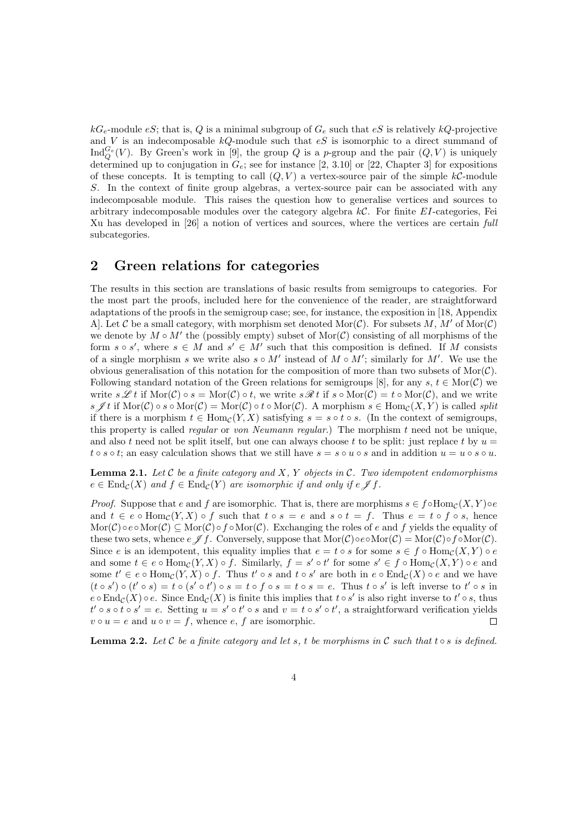$kG_e$ -module eS; that is, Q is a minimal subgroup of  $G_e$  such that eS is relatively  $kQ$ -projective and  $V$  is an indecomposable  $kQ$ -module such that  $eS$  is isomorphic to a direct summand of Ind ${}_{Q}^{G_e}(V)$ . By Green's work in [9], the group Q is a p-group and the pair  $(Q, V)$  is uniquely determined up to conjugation in  $G_e$ ; see for instance [2, 3.10] or [22, Chapter 3] for expositions of these concepts. It is tempting to call  $(Q, V)$  a vertex-source pair of the simple  $k\mathcal{C}$ -module S. In the context of finite group algebras, a vertex-source pair can be associated with any indecomposable module. This raises the question how to generalise vertices and sources to arbitrary indecomposable modules over the category algebra  $k\mathcal{C}$ . For finite EI-categories, Fei Xu has developed in [26] a notion of vertices and sources, where the vertices are certain *full* subcategories.

#### 2 Green relations for categories

The results in this section are translations of basic results from semigroups to categories. For the most part the proofs, included here for the convenience of the reader, are straightforward adaptations of the proofs in the semigroup case; see, for instance, the exposition in [18, Appendix A]. Let C be a small category, with morphism set denoted  $\text{Mor}(\mathcal{C})$ . For subsets M, M' of  $\text{Mor}(\mathcal{C})$ we denote by  $M \circ M'$  the (possibly empty) subset of  $Mor(\mathcal{C})$  consisting of all morphisms of the form  $s \circ s'$ , where  $s \in M$  and  $s' \in M'$  such that this composition is defined. If M consists of a single morphism s we write also  $s \circ M'$  instead of  $M \circ M'$ ; similarly for M'. We use the obvious generalisation of this notation for the composition of more than two subsets of  $\text{Mor}(\mathcal{C})$ . Following standard notation of the Green relations for semigroups [8], for any s,  $t \in \text{Mor}(\mathcal{C})$  we write  $s \mathscr{L} t$  if  $\text{Mor}(\mathcal{C}) \circ s = \text{Mor}(\mathcal{C}) \circ t$ , we write  $s \mathscr{R} t$  if  $s \circ \text{Mor}(\mathcal{C}) = t \circ \text{Mor}(\mathcal{C})$ , and we write s  $\mathscr{I}t$  if  $\text{Mor}(\mathcal{C}) \circ s \circ \text{Mor}(\mathcal{C}) = \text{Mor}(\mathcal{C}) \circ t \circ \text{Mor}(\mathcal{C})$ . A morphism  $s \in \text{Hom}_{\mathcal{C}}(X, Y)$  is called *split* if there is a morphism  $t \in Hom_{\mathcal{C}}(Y,X)$  satisfying  $s = s \circ t \circ s$ . (In the context of semigroups, this property is called *regular* or *von Neumann regular*.) The morphism t need not be unique, and also t need not be split itself, but one can always choose t to be split: just replace t by  $u =$  $t \circ s \circ t$ ; an easy calculation shows that we still have  $s = s \circ u \circ s$  and in addition  $u = u \circ s \circ u$ .

Lemma 2.1. *Let* C *be a finite category and* X*,* Y *objects in* C*. Two idempotent endomorphisms*  $e \in \text{End}_{\mathcal{C}}(X)$  and  $f \in \text{End}_{\mathcal{C}}(Y)$  are isomorphic if and only if  $e \nsubseteq f$ .

*Proof.* Suppose that e and f are isomorphic. That is, there are morphisms  $s \in f \circ Hom_{\mathcal{C}}(X, Y) \circ e$ and  $t \in e \circ \text{Hom}_{\mathcal{C}}(Y,X) \circ f$  such that  $t \circ s = e$  and  $s \circ t = f$ . Thus  $e = t \circ f \circ s$ , hence  $\text{Mor}(\mathcal{C}) \circ e \circ \text{Mor}(\mathcal{C}) \subseteq \text{Mor}(\mathcal{C}) \circ f \circ \text{Mor}(\mathcal{C})$ . Exchanging the roles of e and f yields the equality of these two sets, whence  $e \nsubseteq f$ . Conversely, suppose that  $\text{Mor}(\mathcal{C}) \circ e \circ \text{Mor}(\mathcal{C}) = \text{Mor}(\mathcal{C}) \circ f \circ \text{Mor}(\mathcal{C})$ . Since e is an idempotent, this equality implies that  $e = t \circ s$  for some  $s \in f \circ Hom_{\mathcal{C}}(X, Y) \circ e$ and some  $t \in e \circ \text{Hom}_{\mathcal{C}}(Y,X) \circ f$ . Similarly,  $f = s' \circ t'$  for some  $s' \in f \circ \text{Hom}_{\mathcal{C}}(X,Y) \circ e$  and some  $t' \in e \circ \text{Hom}_{\mathcal{C}}(Y,X) \circ f$ . Thus  $t' \circ s$  and  $t \circ s'$  are both in  $e \circ \text{End}_{\mathcal{C}}(X) \circ e$  and we have  $(t \circ s') \circ (t' \circ s) = t \circ (s' \circ t') \circ s = t \circ f \circ s = t \circ s = e$ . Thus  $t \circ s'$  is left inverse to  $t' \circ s$  in  $e \circ \text{End}_{\mathcal{C}}(X) \circ e$ . Since  $\text{End}_{\mathcal{C}}(X)$  is finite this implies that  $t \circ s'$  is also right inverse to  $t' \circ s$ , thus  $t' \circ s \circ t \circ s' = e$ . Setting  $u = s' \circ t' \circ s$  and  $v = t \circ s' \circ t'$ , a straightforward verification yields  $v \circ u = e$  and  $u \circ v = f$ , whence  $e$ ,  $f$  are isomorphic. П

**Lemma 2.2.** Let C be a finite category and let s, t be morphisms in C such that  $\tau \circ s$  is defined.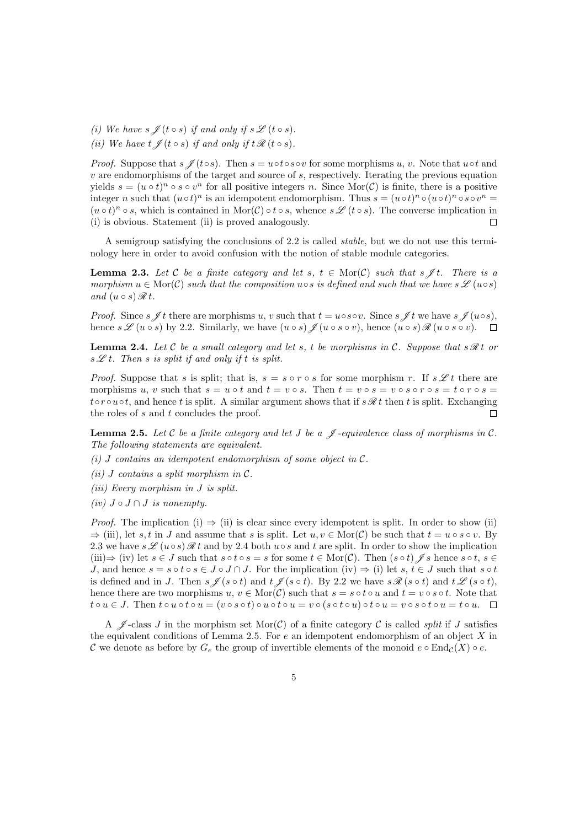- *(i)* We have  $s \nsubseteq (t \circ s)$  *if and only if*  $s \nsubseteq (t \circ s)$ *.*
- *(ii)* We have  $t \nsubseteq (t \circ s)$  *if and only if*  $t \nsubseteq (t \circ s)$ *.*

*Proof.* Suppose that  $s \mathcal{J}(t \circ s)$ . Then  $s = u \circ t \circ s \circ v$  for some morphisms u, v. Note that u $\circ t$  and  $v$  are endomorphisms of the target and source of  $s$ , respectively. Iterating the previous equation yields  $s = (u \circ t)^n \circ s \circ v^n$  for all positive integers n. Since Mor(C) is finite, there is a positive integer n such that  $(u \circ t)^n$  is an idempotent endomorphism. Thus  $s = (u \circ t)^n \circ (u \circ t)^n \circ s \circ v^n =$  $(u \circ t)^n \circ s$ , which is contained in Mor $(C) \circ t \circ s$ , whence  $s \mathscr{L}(t \circ s)$ . The converse implication in (i) is obvious. Statement (ii) is proved analogously.  $\Box$ 

A semigroup satisfying the conclusions of 2.2 is called *stable*, but we do not use this terminology here in order to avoid confusion with the notion of stable module categories.

**Lemma 2.3.** Let C be a finite category and let s,  $t \in \text{Mor}(\mathcal{C})$  such that s  $\neq t$ . There is a *morphism*  $u \in \text{Mor}(\mathcal{C})$  *such that the composition*  $u \circ s$  *is defined and such that we have*  $s \mathscr{L}(u \circ s)$ *and*  $(u \circ s) \mathcal{R} t$ .

*Proof.* Since  $s \nsubseteq t$  there are morphisms u, v such that  $t = u \circ s \circ v$ . Since  $s \nsubseteq t$  we have  $s \nsubseteq (u \circ s)$ , hence  $s \mathscr{L} (u \circ s)$  by 2.2. Similarly, we have  $(u \circ s) \mathscr{L} (u \circ s \circ v)$ , hence  $(u \circ s) \mathscr{R} (u \circ s \circ v)$ .

**Lemma 2.4.** Let C be a small category and let s, t be morphisms in C. Suppose that  $s \mathcal{R} t$  or  $s \mathscr{L} t$ . Then *s* is split if and only if t is split.

*Proof.* Suppose that s is split; that is,  $s = s \circ r \circ s$  for some morphism r. If  $s \mathscr{L} t$  there are morphisms u, v such that  $s = u \circ t$  and  $t = v \circ s$ . Then  $t = v \circ s = v \circ s \circ r \circ s = t \circ r \circ s = t$  $to{\color{black}row}$  to  $t \circ u \circ t$ , and hence t is split. A similar argument shows that if  $s \mathscr{R} t$  then t is split. Exchanging the roles of s and t concludes the proof.  $\Box$ 

**Lemma 2.5.** Let  $C$  be a finite category and let  $J$  be a  $\mathscr J$ -equivalence class of morphisms in  $C$ . *The following statements are equivalent.*

- *(i)* J *contains an idempotent endomorphism of some object in* C*.*
- *(ii)* J *contains a split morphism in* C*.*
- *(iii) Every morphism in* J *is split.*
- *(iv)*  $J \circ J \cap J$  *is nonempty.*

*Proof.* The implication (i)  $\Rightarrow$  (ii) is clear since every idempotent is split. In order to show (ii)  $\Rightarrow$  (iii), let s, t in J and assume that s is split. Let  $u, v \in \text{Mor}(\mathcal{C})$  be such that  $t = u \circ s \circ v$ . By 2.3 we have  $s \mathscr{L}(u \circ s) \mathscr{R} t$  and by 2.4 both  $u \circ s$  and t are split. In order to show the implication (iii) $\Rightarrow$  (iv) let  $s \in J$  such that  $s \circ t \circ s = s$  for some  $t \in \text{Mor}(\mathcal{C})$ . Then  $(s \circ t) \mathcal{J} s$  hence  $s \circ t, s \in J$ J, and hence  $s = s \circ t \circ s \in J \circ J \cap J$ . For the implication (iv)  $\Rightarrow$  (i) let  $s, t \in J$  such that  $s \circ t$ is defined and in J. Then  $s \nsubseteq (s \circ t)$  and  $t \nsubseteq (s \circ t)$ . By 2.2 we have  $s \nsubseteq (s \circ t)$  and  $t \nsubseteq (s \circ t)$ , hence there are two morphisms  $u, v \in \text{Mor}(\mathcal{C})$  such that  $s = s \circ t \circ u$  and  $t = v \circ s \circ t$ . Note that  $t \circ u \in J$ . Then  $t \circ u \circ t \circ u = (v \circ s \circ t) \circ u \circ t \circ u = v \circ (s \circ t \circ u) \circ t \circ u = v \circ s \circ t \circ u = t \circ u$ .

A  $\mathscr{J}$ -class J in the morphism set Mor(C) of a finite category C is called *split* if J satisfies the equivalent conditions of Lemma 2.5. For  $e$  an idempotent endomorphism of an object X in C we denote as before by  $G_e$  the group of invertible elements of the monoid  $e \circ \text{End}_{\mathcal{C}}(X) \circ e$ .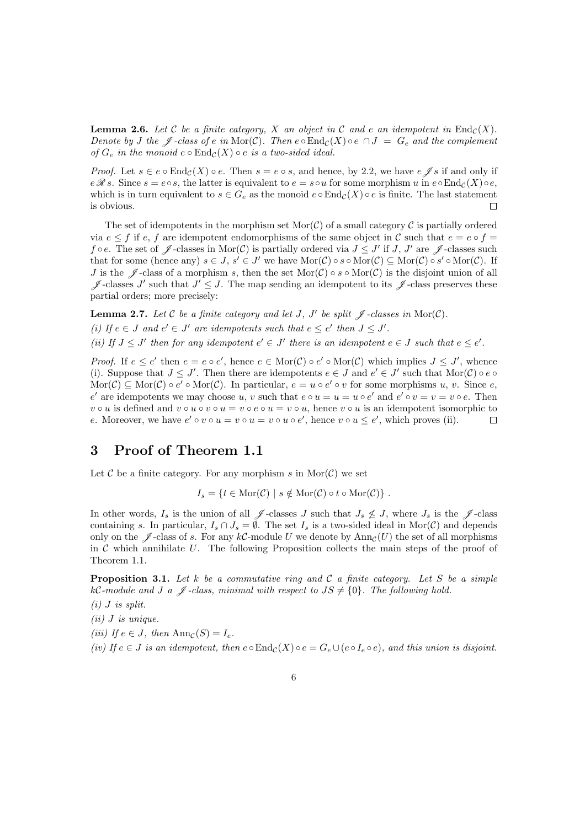**Lemma 2.6.** Let C be a finite category, X an object in C and e an idempotent in  $\text{End}_{\mathcal{C}}(X)$ . *Denote by* J the  $\mathscr{J}$ -class of e in Mor(C). Then  $e \circ \text{End}_{\mathcal{C}}(X) \circ e \cap J = G_e$  and the complement *of*  $G_e$  *in the monoid*  $e \circ \text{End}_{\mathcal{C}}(X) \circ e$  *is a two-sided ideal.* 

*Proof.* Let  $s \in e \circ \text{End}_{\mathcal{C}}(X) \circ e$ . Then  $s = e \circ s$ , and hence, by 2.2, we have  $e \mathscr{J} s$  if and only if  $e \mathscr{R} s$ . Since  $s = e \circ s$ , the latter is equivalent to  $e = s \circ u$  for some morphism u in  $e \circ \text{End}_{\mathcal{C}}(X) \circ e$ , which is in turn equivalent to  $s \in G_e$  as the monoid  $e \circ \text{End}_{\mathcal{C}}(X) \circ e$  is finite. The last statement is obvious.  $\Box$ 

The set of idempotents in the morphism set  $\text{Mor}(\mathcal{C})$  of a small category  $\mathcal C$  is partially ordered via  $e \leq f$  if e, f are idempotent endomorphisms of the same object in C such that  $e = e \circ f =$ f  $\circ$  e. The set of  $\mathscr J$ -classes in Mor(C) is partially ordered via  $J \leq J'$  if J, J' are  $\mathscr J$ -classes such that for some (hence any)  $s \in J$ ,  $s' \in J'$  we have  $\text{Mor}(\mathcal{C}) \circ s \circ \text{Mor}(\mathcal{C}) \subseteq \text{Mor}(\mathcal{C}) \circ s' \circ \text{Mor}(\mathcal{C})$ . If J is the  $\mathscr I$ -class of a morphism s, then the set Mor(C)  $\circ s \circ \text{Mor}(\mathcal C)$  is the disjoint union of all  $\mathscr{J}$ -classes J' such that  $J' \leq J$ . The map sending an idempotent to its  $\mathscr{J}$ -class preserves these partial orders; more precisely:

**Lemma 2.7.** Let C be a finite category and let J, J' be split  $\mathscr{J}$ -classes in  $\text{Mor}(\mathcal{C})$ .

(*i*) If  $e \in J$  and  $e' \in J'$  are idempotents such that  $e \leq e'$  then  $J \leq J'$ .

(*ii*) If  $J \leq J'$  then for any idempotent  $e' \in J'$  there is an idempotent  $e \in J$  such that  $e \leq e'$ .

*Proof.* If  $e \leq e'$  then  $e = e \circ e'$ , hence  $e \in \text{Mor}(\mathcal{C}) \circ e' \circ \text{Mor}(\mathcal{C})$  which implies  $J \leq J'$ , whence (i). Suppose that  $J \leq J'$ . Then there are idempotents  $e \in J$  and  $e' \in J'$  such that  $\text{Mor}(\mathcal{C}) \circ e \circ f$  $\text{Mor}(\mathcal{C}) \subseteq \text{Mor}(\mathcal{C}) \circ e' \circ \text{Mor}(\mathcal{C})$ . In particular,  $e = u \circ e' \circ v$  for some morphisms u, v. Since e, e' are idempotents we may choose u, v such that  $e \circ u = u = u \circ e'$  and  $e' \circ v = v = v \circ e$ . Then  $v \circ u$  is defined and  $v \circ u \circ v \circ u = v \circ e \circ u = v \circ u$ , hence  $v \circ u$  is an idempotent isomorphic to e. Moreover, we have  $e' \circ v \circ u = v \circ u = v \circ u \circ e'$ , hence  $v \circ u \le e'$ , which proves (ii). П

#### 3 Proof of Theorem 1.1

Let  $\mathcal C$  be a finite category. For any morphism s in Mor $(\mathcal C)$  we set

 $I_s = \{t \in \text{Mor}(\mathcal{C}) \mid s \notin \text{Mor}(\mathcal{C}) \circ t \circ \text{Mor}(\mathcal{C})\}\.$ 

In other words,  $I_s$  is the union of all  $\mathscr{J}$ -classes J such that  $J_s \not\leq J$ , where  $J_s$  is the  $\mathscr{J}$ -class containing s. In particular,  $I_s \cap J_s = \emptyset$ . The set  $I_s$  is a two-sided ideal in Mor(C) and depends only on the  $\mathscr{J}$ -class of s. For any kC-module U we denote by  $\text{Ann}_{\mathcal{C}}(U)$  the set of all morphisms in  $\mathcal C$  which annihilate U. The following Proposition collects the main steps of the proof of Theorem 1.1.

Proposition 3.1. *Let* k *be a commutative ring and* C *a finite category. Let* S *be a simple* kC-module and J a  $\mathscr J$ -class, minimal with respect to  $JS \neq \{0\}$ . The following hold.

*(i)* J *is split.*

*(ii)* J *is unique.*

*(iii)* If  $e \in J$ , then  $\text{Ann}_\mathcal{C}(S) = I_e$ .

*(iv) If*  $e \in J$  *is an idempotent, then*  $e \circ \text{End}_{\mathcal{C}}(X) \circ e = G_e \cup (e \circ I_e \circ e)$ *, and this union is disjoint.*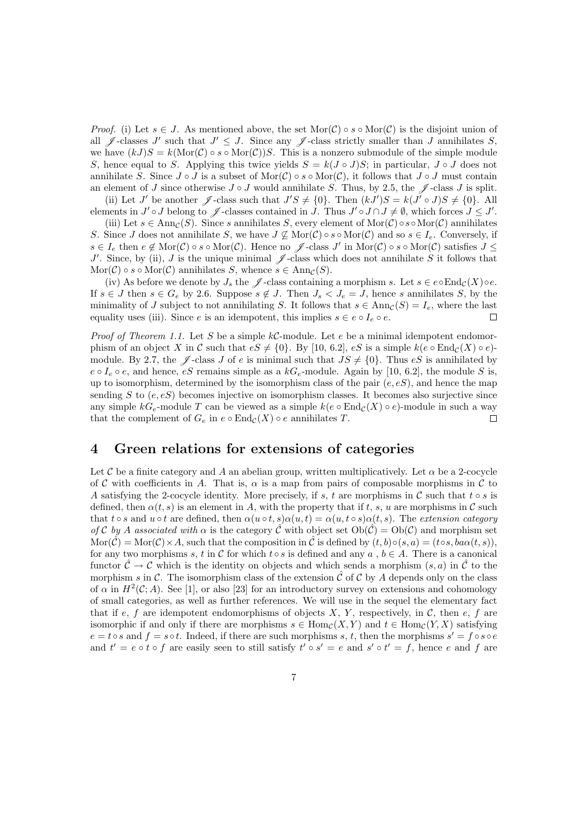*Proof.* (i) Let  $s \in J$ . As mentioned above, the set  $\text{Mor}(\mathcal{C}) \circ s \circ \text{Mor}(\mathcal{C})$  is the disjoint union of all  $\mathscr{J}$ -classes J' such that  $J' \leq J$ . Since any  $\mathscr{J}$ -class strictly smaller than J annihilates S, we have  $(kJ)S = k(\text{Mor}(\mathcal{C}) \circ s \circ \text{Mor}(\mathcal{C}))S$ . This is a nonzero submodule of the simple module S, hence equal to S. Applying this twice yields  $S = k(J \circ J)S$ ; in particular,  $J \circ J$  does not annihilate S. Since  $J \circ J$  is a subset of  $\text{Mor}(\mathcal{C}) \circ s \circ \text{Mor}(\mathcal{C})$ , it follows that  $J \circ J$  must contain an element of J since otherwise  $J \circ J$  would annihilate S. Thus, by 2.5, the  $\mathscr J$ -class J is split.

(ii) Let J' be another  $\mathscr{J}$ -class such that  $J'S \neq \{0\}$ . Then  $(kJ')S = k(J' \circ J)S \neq \{0\}$ . All elements in  $J' \circ J$  belong to  $\mathscr J$ -classes contained in  $J$ . Thus  $J' \circ J \cap J \neq \emptyset$ , which forces  $J \leq J'$ .

(iii) Let  $s \in \text{Ann}_C(S)$ . Since s annihilates S, every element of Mor(C)  $\circ s \circ \text{Mor}(\mathcal{C})$  annihilates S. Since J does not annihilate S, we have  $J \nsubseteq \text{Mor}(\mathcal{C}) \circ s \circ \text{Mor}(\mathcal{C})$  and so  $s \in I_e$ . Conversely, if  $s \in I_e$  then  $e \notin \text{Mor}(\mathcal{C}) \circ s \circ \text{Mor}(\mathcal{C})$ . Hence no  $\mathscr{J}$ -class  $J'$  in  $\text{Mor}(\mathcal{C}) \circ s \circ \text{Mor}(\mathcal{C})$  satisfies  $J \leq$ J'. Since, by (ii), J is the unique minimal  $\mathscr{J}$ -class which does not annihilate S it follows that  $\text{Mor}(\mathcal{C}) \circ s \circ \text{Mor}(\mathcal{C})$  annihilates S, whence  $s \in \text{Ann}_{\mathcal{C}}(S)$ .

(iv) As before we denote by  $J_s$  the  $\mathscr J$ -class containing a morphism s. Let  $s \in e \circ \text{End}_{\mathcal C}(X) \circ e$ . If  $s \in J$  then  $s \in G_e$  by 2.6. Suppose  $s \notin J$ . Then  $J_s < J_e = J$ , hence s annihilates S, by the minimality of J subject to not annihilating S. It follows that  $s \in \text{Ann}_\mathcal{C}(S) = I_e$ , where the last equality uses (iii). Since e is an idempotent, this implies  $s \in e \circ I_e \circ e$ .  $\Box$ 

*Proof of Theorem 1.1.* Let S be a simple  $kC$ -module. Let e be a minimal idempotent endomorphism of an object X in C such that  $eS \neq \{0\}$ . By [10, 6.2],  $eS$  is a simple  $k(e \circ \text{End}_{\mathcal{C}}(X) \circ e)$ module. By 2.7, the  $\mathscr J$ -class J of e is minimal such that  $JS \neq \{0\}$ . Thus eS is annihilated by  $e \circ I_e \circ e$ , and hence,  $eS$  remains simple as a  $kG_e$ -module. Again by [10, 6.2], the module S is, up to isomorphism, determined by the isomorphism class of the pair  $(e, eS)$ , and hence the map sending  $S$  to  $(e, eS)$  becomes injective on isomorphism classes. It becomes also surjective since any simple k $G_e$ -module T can be viewed as a simple  $k(e \circ \text{End}_{\mathcal{C}}(X) \circ e)$ -module in such a way that the complement of  $G_e$  in  $e \circ \text{End}_{\mathcal{C}}(X) \circ e$  annihilates T.  $\Box$ 

#### 4 Green relations for extensions of categories

Let C be a finite category and A an abelian group, written multiplicatively. Let  $\alpha$  be a 2-cocycle of C with coefficients in A. That is,  $\alpha$  is a map from pairs of composable morphisms in C to A satisfying the 2-cocycle identity. More precisely, if s, t are morphisms in C such that t  $\circ s$  is defined, then  $\alpha(t, s)$  is an element in A, with the property that if t, s, u are morphisms in C such that  $t \circ s$  and  $u \circ t$  are defined, then  $\alpha(u \circ t, s) \alpha(u, t) = \alpha(u, t \circ s) \alpha(t, s)$ . The *extension category of* C *by* A *associated with*  $\alpha$  is the category  $\hat{\mathcal{C}}$  with object set  $Ob(\hat{\mathcal{C}}) = Ob(\mathcal{C})$  and morphism set  $\text{Mor}(\mathcal{C}) = \text{Mor}(\mathcal{C}) \times A$ , such that the composition in C is defined by  $(t, b) \circ (s, a) = (t \circ s, ba \alpha(t, s))$ , for any two morphisms s, t in C for which t s is defined and any a,  $b \in A$ . There is a canonical functor  $\hat{\mathcal{C}} \to \mathcal{C}$  which is the identity on objects and which sends a morphism  $(s, a)$  in  $\hat{\mathcal{C}}$  to the morphism s in C. The isomorphism class of the extension  $\hat{\mathcal{C}}$  of C by A depends only on the class of  $\alpha$  in  $H^2(\mathcal{C};A)$ . See [1], or also [23] for an introductory survey on extensions and cohomology of small categories, as well as further references. We will use in the sequel the elementary fact that if e, f are idempotent endomorphisms of objects  $X, Y$ , respectively, in C, then e, f are isomorphic if and only if there are morphisms  $s \in Hom_{\mathcal{C}}(X, Y)$  and  $t \in Hom_{\mathcal{C}}(Y, X)$  satisfying  $e = t \circ s$  and  $f = s \circ t$ . Indeed, if there are such morphisms s, t, then the morphisms  $s' = f \circ s \circ e$ and  $t' = e \circ t \circ f$  are easily seen to still satisfy  $t' \circ s' = e$  and  $s' \circ t' = f$ , hence e and f are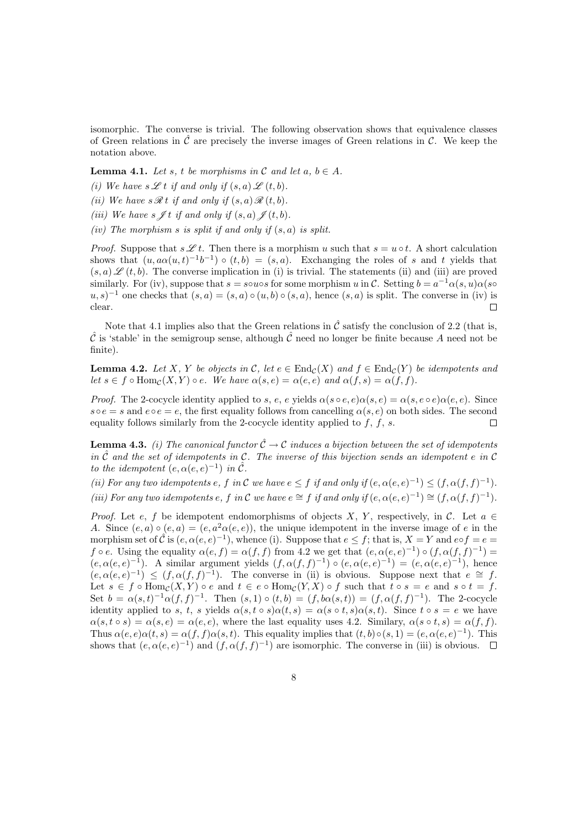isomorphic. The converse is trivial. The following observation shows that equivalence classes of Green relations in  $\hat{\mathcal{C}}$  are precisely the inverse images of Green relations in  $\mathcal{C}$ . We keep the notation above.

**Lemma 4.1.** *Let* s, t be morphisms in C and let  $a, b \in A$ .

- *(i)* We have  $s \mathscr{L} t$  *if and only if*  $(s, a) \mathscr{L} (t, b)$ *.*
- *(ii)* We have  $s \mathcal{R} t$  *if and only if*  $(s, a) \mathcal{R} (t, b)$ *.*
- *(iii)* We have  $s \nsubseteq t$  *if and only if*  $(s, a) \nsubseteq (t, b)$ *.*
- *(iv) The morphism* s *is split if and only if* (s, a) *is split.*

*Proof.* Suppose that  $s \mathscr{L} t$ . Then there is a morphism u such that  $s = u \circ t$ . A short calculation shows that  $(u, a\alpha(u,t)^{-1}b^{-1}) \circ (t, b) = (s, a)$ . Exchanging the roles of s and t yields that  $(s, a) \mathscr{L}(t, b)$ . The converse implication in (i) is trivial. The statements (ii) and (iii) are proved similarly. For (iv), suppose that  $s = s \circ u \circ s$  for some morphism u in C. Setting  $b = a^{-1} \alpha(s, u) \alpha(s \circ u)$  $(u, s)^{-1}$  one checks that  $(s, a) = (s, a) \circ (u, b) \circ (s, a)$ , hence  $(s, a)$  is split. The converse in (iv) is clear.  $\Box$ 

Note that 4.1 implies also that the Green relations in  $\hat{\mathcal{C}}$  satisfy the conclusion of 2.2 (that is,  $\hat{\mathcal{C}}$  is 'stable' in the semigroup sense, although  $\hat{\mathcal{C}}$  need no longer be finite because A need not be finite).

**Lemma 4.2.** Let X, Y be objects in C, let  $e \in \text{End}_{\mathcal{C}}(X)$  and  $f \in \text{End}_{\mathcal{C}}(Y)$  be idempotents and *let*  $s \in f \circ \text{Hom}_{\mathcal{C}}(X, Y) \circ e$ *. We have*  $\alpha(s, e) = \alpha(e, e)$  *and*  $\alpha(f, s) = \alpha(f, f)$ *.* 

*Proof.* The 2-cocycle identity applied to s, e, e yields  $\alpha(s \circ e, e) \alpha(s, e) = \alpha(s, e \circ e) \alpha(e, e)$ . Since  $s \circ e = s$  and  $e \circ e = e$ , the first equality follows from cancelling  $\alpha(s, e)$  on both sides. The second equality follows similarly from the 2-cocycle identity applied to  $f, f, s$ .  $\Box$ 

**Lemma 4.3.** *(i) The canonical functor*  $\hat{\mathcal{C}} \to \mathcal{C}$  *induces a bijection between the set of idempotents in*  $\hat{\mathcal{C}}$  *and the set of idempotents in*  $\mathcal{C}$ *. The inverse of this bijection sends an idempotent*  $e$  *in*  $\mathcal{C}$ *to the idempotent*  $(e, \alpha(e, e)^{-1})$  *in*  $\hat{\mathcal{C}}$ *.* 

*(ii)* For any two idempotents e, f in C we have  $e \leq f$  if and only if  $(e, \alpha(e, e)^{-1}) \leq (f, \alpha(f, f)^{-1})$ . *(iii)* For any two idempotents e, f in C we have  $e \cong f$  if and only if  $(e, \alpha(e, e)^{-1}) \cong (f, \alpha(f, f)^{-1})$ .

*Proof.* Let e, f be idempotent endomorphisms of objects X, Y, respectively, in C. Let  $a \in$ A. Since  $(e, a) \circ (e, a) = (e, a^2 \alpha(e, e))$ , the unique idempotent in the inverse image of e in the morphism set of  $\hat{\mathcal{C}}$  is  $(e, \alpha(e, e)^{-1})$ , whence (i). Suppose that  $e \leq f$ ; that is,  $X = Y$  and  $e \circ f = e =$  $f \circ e$ . Using the equality  $\alpha(e, f) = \alpha(f, f)$  from 4.2 we get that  $(e, \alpha(e, e)^{-1}) \circ (f, \alpha(f, f)^{-1}) =$  $(e, \alpha(e, e)^{-1})$ . A similar argument yields  $(f, \alpha(f, f)^{-1}) \circ (e, \alpha(e, e)^{-1}) = (e, \alpha(e, e)^{-1})$ , hence  $(e, \alpha(e, e)^{-1}) \leq (f, \alpha(f, f)^{-1})$ . The converse in (ii) is obvious. Suppose next that  $e \cong f$ . Let  $s \in f \circ \text{Hom}_{\mathcal{C}}(X, Y) \circ e$  and  $t \in e \circ \text{Hom}_{\mathcal{C}}(Y, X) \circ f$  such that  $t \circ s = e$  and  $s \circ t = f$ . Set  $b = \alpha(s,t)^{-1} \alpha(f,f)^{-1}$ . Then  $(s,1) \circ (t,b) = (f, b\alpha(s,t)) = (f, \alpha(f,f)^{-1})$ . The 2-cocycle identity applied to s, t, s yields  $\alpha(s,t \circ s)\alpha(t,s) = \alpha(s \circ t,s)\alpha(s,t)$ . Since  $t \circ s = e$  we have  $\alpha(s, t \circ s) = \alpha(s, e) = \alpha(e, e)$ , where the last equality uses 4.2. Similary,  $\alpha(s \circ t, s) = \alpha(f, f)$ . Thus  $\alpha(e,e)\alpha(t,s) = \alpha(f,f)\alpha(s,t)$ . This equality implies that  $(t,b)\circ(s,1) = (e,\alpha(e,e)^{-1})$ . This shows that  $(e, \alpha(e, e)^{-1})$  and  $(f, \alpha(f, f)^{-1})$  are isomorphic. The converse in (iii) is obvious.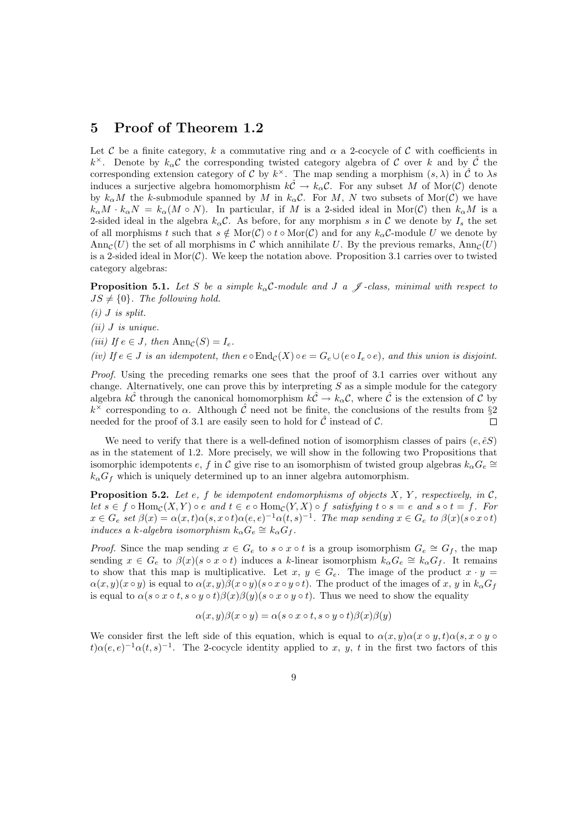#### 5 Proof of Theorem 1.2

Let C be a finite category, k a commutative ring and  $\alpha$  a 2-cocycle of C with coefficients in k<sup>×</sup>. Denote by  $k_{\alpha}C$  the corresponding twisted category algebra of C over k and by  $\hat{C}$  the corresponding extension category of C by  $k^{\times}$ . The map sending a morphism  $(s, \lambda)$  in  $\hat{\mathcal{C}}$  to  $\lambda s$ induces a surjective algebra homomorphism  $k\hat{C} \to k_{\alpha}C$ . For any subset M of Mor(C) denote by  $k_{\alpha}M$  the k-submodule spanned by M in  $k_{\alpha}C$ . For M, N two subsets of Mor(C) we have  $k_{\alpha}M \cdot k_{\alpha}N = k_{\alpha}(M \circ N)$ . In particular, if M is a 2-sided ideal in Mor(C) then  $k_{\alpha}M$  is a 2-sided ideal in the algebra  $k_{\alpha}C$ . As before, for any morphism s in C we denote by  $I_s$  the set of all morphisms t such that  $s \notin \text{Mor}(\mathcal{C}) \circ t \circ \text{Mor}(\mathcal{C})$  and for any  $k_{\alpha} \mathcal{C}$ -module U we denote by Ann<sub>C</sub>(U) the set of all morphisms in C which annihilate U. By the previous remarks, Ann<sub>C</sub>(U) is a 2-sided ideal in Mor( $\mathcal{C}$ ). We keep the notation above. Proposition 3.1 carries over to twisted category algebras:

**Proposition 5.1.** Let S be a simple  $k_{\alpha}$ C-module and J a  $\mathcal{J}$ -class, minimal with respect to  $JS \neq \{0\}$ . The following hold.

*(i)* J *is split.*

*(ii)* J *is unique.*

*(iii)* If  $e \in J$ , then  $\text{Ann}_\mathcal{C}(S) = I_e$ .

*(iv) If*  $e \in J$  *is an idempotent, then*  $e \circ \text{End}_{\mathcal{C}}(X) \circ e = G_e \cup (e \circ I_e \circ e)$ *, and this union is disjoint.* 

*Proof.* Using the preceding remarks one sees that the proof of 3.1 carries over without any change. Alternatively, one can prove this by interpreting  $S$  as a simple module for the category algebra  $k\hat{\mathcal{C}}$  through the canonical homomorphism  $k\hat{\mathcal{C}} \to k_\alpha \mathcal{C}$ , where  $\hat{\mathcal{C}}$  is the extension of  $\mathcal{C}$  by  $k^{\times}$  corresponding to  $\alpha$ . Although  $\hat{\mathcal{C}}$  need not be finite, the conclusions of the results from §2 needed for the proof of 3.1 are easily seen to hold for  $\hat{\mathcal{C}}$  instead of  $\mathcal{C}$ .  $\Box$ 

We need to verify that there is a well-defined notion of isomorphism classes of pairs  $(e, \hat{e}S)$ as in the statement of 1.2. More precisely, we will show in the following two Propositions that isomorphic idempotents  $e, f$  in  $\mathcal C$  give rise to an isomorphism of twisted group algebras  $k_\alpha G_e \cong$  $k_{\alpha}G_f$  which is uniquely determined up to an inner algebra automorphism.

**Proposition 5.2.** Let e, f be idempotent endomorphisms of objects  $X$ ,  $Y$ , respectively, in  $C$ , *let*  $s \in f \circ \text{Hom}_{\mathcal{C}}(X, Y) \circ e$  *and*  $t \in e \circ \text{Hom}_{\mathcal{C}}(Y, X) \circ f$  *satisfying*  $t \circ s = e$  *and*  $s \circ t = f$ *. For*  $x \in G_e$  set  $\beta(x) = \alpha(x,t)\alpha(s,x \circ t)\alpha(e,e)^{-1}\alpha(t,s)^{-1}$ . The map sending  $x \in G_e$  to  $\beta(x)(s \circ x \circ t)$ *induces a k*-*algebra isomorphism*  $k_{\alpha}G_e \cong k_{\alpha}G_f$ .

*Proof.* Since the map sending  $x \in G_e$  to  $s \circ x \circ t$  is a group isomorphism  $G_e \cong G_f$ , the map sending  $x \in G_e$  to  $\beta(x)(s \circ x \circ t)$  induces a k-linear isomorphism  $k_\alpha G_e \cong k_\alpha G_f$ . It remains to show that this map is multiplicative. Let  $x, y \in G_e$ . The image of the product  $x \cdot y =$  $\alpha(x, y)(x \circ y)$  is equal to  $\alpha(x, y)\beta(x \circ y)(s \circ x \circ y \circ t)$ . The product of the images of x, y in  $k_{\alpha}G_f$ is equal to  $\alpha(s \circ x \circ t, s \circ y \circ t)\beta(x)\beta(y)(s \circ x \circ y \circ t)$ . Thus we need to show the equality

$$
\alpha(x, y)\beta(x \circ y) = \alpha(s \circ x \circ t, s \circ y \circ t)\beta(x)\beta(y)
$$

We consider first the left side of this equation, which is equal to  $\alpha(x, y)\alpha(x \circ y, t)\alpha(s, x \circ y \circ t)$  $t\alpha(e,e)^{-1}\alpha(t,s)^{-1}$ . The 2-cocycle identity applied to x, y, t in the first two factors of this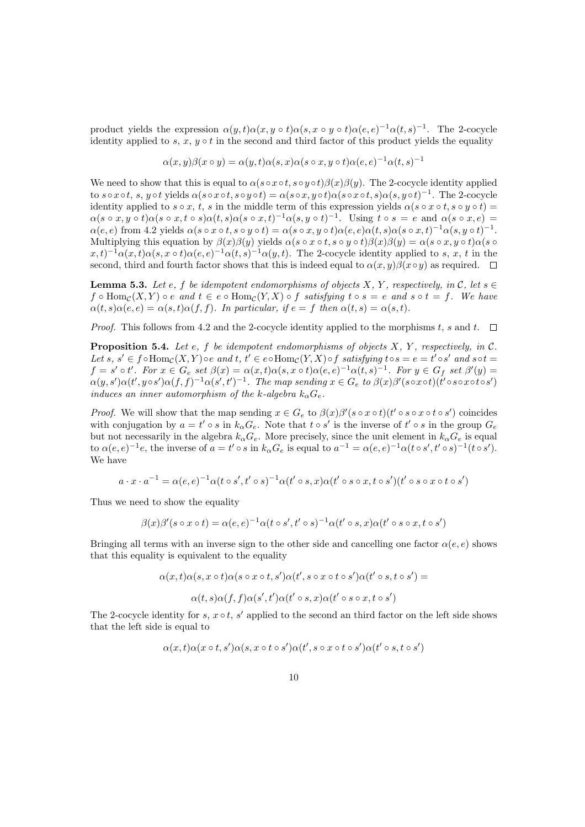product yields the expression  $\alpha(y, t) \alpha(x, y \circ t) \alpha(s, x \circ y \circ t) \alpha(e, e)^{-1} \alpha(t, s)^{-1}$ . The 2-cocycle identity applied to s, x,  $y \circ t$  in the second and third factor of this product yields the equality

$$
\alpha(x, y)\beta(x \circ y) = \alpha(y, t)\alpha(s, x)\alpha(s \circ x, y \circ t)\alpha(e, e)^{-1}\alpha(t, s)^{-1}
$$

We need to show that this is equal to  $\alpha(s \circ x \circ t, s \circ y \circ t)\beta(x)\beta(y)$ . The 2-cocycle identity applied to  $s \circ x \circ t$ ,  $s, y \circ t$  yields  $\alpha(s \circ x \circ t, s \circ y \circ t) = \alpha(s \circ x, y \circ t) \alpha(s \circ x \circ t, s) \alpha(s, y \circ t)^{-1}$ . The 2-cocycle identity applied to  $s \circ x$ ,  $t$ ,  $s$  in the middle term of this expression yields  $\alpha(s \circ x \circ t, s \circ y \circ t) =$  $\alpha(s \circ x, y \circ t)\alpha(s \circ x, t \circ s)\alpha(t, s)\alpha(s \circ x, t)^{-1}\alpha(s, y \circ t)^{-1}$ . Using  $t \circ s = e$  and  $\alpha(s \circ x, e) =$  $\alpha(e,e) \text{ from } 4.2 \text{ yields } \alpha(s \circ x \circ t, s \circ y \circ t) = \alpha(s \circ x, y \circ t) \alpha(e,e) \alpha(t,s) \alpha(s \circ x,t)^{-1} \alpha(s,y \circ t)^{-1}.$ Multiplying this equation by  $\beta(x)\beta(y)$  yields  $\alpha(s \circ x \circ t, s \circ y \circ t)\beta(x)\beta(y) = \alpha(s \circ x, y \circ t)\alpha(s \circ t)$  $(x,t)^{-1}\alpha(x,t)\alpha(s,x\circ t)\alpha(e,e)^{-1}\alpha(t,s)^{-1}\alpha(y,t)$ . The 2-cocycle identity applied to s, x, t in the second, third and fourth factor shows that this is indeed equal to  $\alpha(x, y)\beta(x \circ y)$  as required.  $\Box$ 

**Lemma 5.3.** Let e, f be idempotent endomorphisms of objects X, Y, respectively, in C, let  $s \in$  $f \circ \text{Hom}_{\mathcal{C}}(X, Y) \circ e$  and  $t \in e \circ \text{Hom}_{\mathcal{C}}(Y, X) \circ f$  *satisfying*  $t \circ s = e$  and  $s \circ t = f$ . We have  $\alpha(t,s)\alpha(e,e) = \alpha(s,t)\alpha(f,f)$ *. In particular, if*  $e = f$  *then*  $\alpha(t,s) = \alpha(s,t)$ *.* 

*Proof.* This follows from 4.2 and the 2-cocycle identity applied to the morphisms t, s and t.  $\square$ 

Proposition 5.4. *Let* e*,* f *be idempotent endomorphisms of objects* X*,* Y *, respectively, in* C*.* Let  $s, s' \in f \circ \text{Hom}_{\mathcal{C}}(X, Y) \circ e$  and  $t, t' \in e \circ \text{Hom}_{\mathcal{C}}(Y, X) \circ f$  *satisfying*  $t \circ s = e = t' \circ s'$  and  $s \circ t =$  $f = s' \circ t'.$  For  $x \in G_e$  set  $\beta(x) = \alpha(x, t) \alpha(s, x \circ t) \alpha(e, e)^{-1} \alpha(t, s)^{-1}$ . For  $y \in G_f$  set  $\beta'(y) =$  $\alpha(y,s')\alpha(t',y\circ s')\alpha(f,f)^{-1}\alpha(s',t')^{-1}$ . The map sending  $x\in G_e$  to  $\beta(x)\beta'(s\circ x\circ t)(t'\circ s\circ x\circ t\circ s')$ *induces an inner automorphism of the k-algebra*  $k_{\alpha}G_e$ .

*Proof.* We will show that the map sending  $x \in G_e$  to  $\beta(x)\beta'(s \circ x \circ t)(t' \circ s \circ x \circ t \circ s')$  coincides with conjugation by  $a = t' \circ s$  in  $k_\alpha G_e$ . Note that  $t \circ s'$  is the inverse of  $t' \circ s$  in the group  $G_e$ but not necessarily in the algebra  $k_{\alpha}G_e$ . More precisely, since the unit element in  $k_{\alpha}G_e$  is equal to  $\alpha(e,e)^{-1}e$ , the inverse of  $a = t' \circ s$  in  $k_{\alpha}G_e$  is equal to  $a^{-1} = \alpha(e,e)^{-1}\alpha(t \circ s', t' \circ s)^{-1}(t \circ s')$ . We have

$$
a \cdot x \cdot a^{-1} = \alpha(e, e)^{-1} \alpha(t \circ s', t' \circ s)^{-1} \alpha(t' \circ s, x) \alpha(t' \circ s \circ x, t \circ s')(t' \circ s \circ x \circ t \circ s')
$$

Thus we need to show the equality

$$
\beta(x)\beta'(s\circ x\circ t) = \alpha(e,e)^{-1}\alpha(t\circ s',t'\circ s)^{-1}\alpha(t'\circ s,x)\alpha(t'\circ s\circ x,t\circ s')
$$

Bringing all terms with an inverse sign to the other side and cancelling one factor  $\alpha(e, e)$  shows that this equality is equivalent to the equality

$$
\alpha(x,t)\alpha(s,x \circ t)\alpha(s \circ x \circ t,s')\alpha(t',s \circ x \circ t \circ s')\alpha(t' \circ s,t \circ s') =
$$
  
 
$$
\alpha(t,s)\alpha(f,f)\alpha(s',t')\alpha(t' \circ s,x)\alpha(t' \circ s \circ x,t \circ s')
$$

The 2-cocycle identity for s,  $x \circ t$ , s' applied to the second an third factor on the left side shows that the left side is equal to

$$
\alpha(x,t)\alpha(x \circ t,s')\alpha(s,x \circ t \circ s')\alpha(t',s \circ x \circ t \circ s')\alpha(t' \circ s,t \circ s')
$$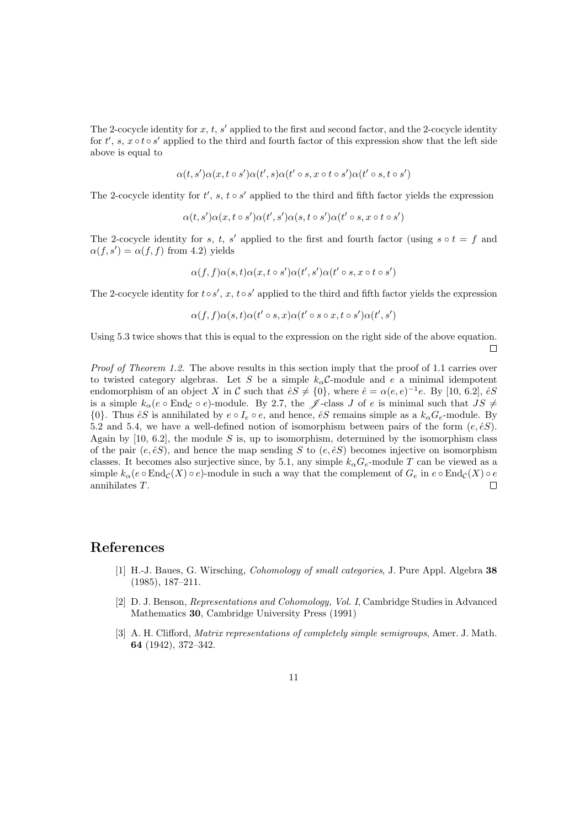The 2-cocycle identity for  $x, t, s'$  applied to the first and second factor, and the 2-cocycle identity for  $t'$ ,  $s, x \circ t \circ s'$  applied to the third and fourth factor of this expression show that the left side above is equal to

$$
\alpha(t,s')\alpha(x,t\circ s')\alpha(t',s)\alpha(t'\circ s,x\circ t\circ s')\alpha(t'\circ s,t\circ s')
$$

The 2-cocycle identity for  $t'$ ,  $s$ ,  $t \circ s'$  applied to the third and fifth factor yields the expression

$$
\alpha(t,s')\alpha(x,t\circ s')\alpha(t',s')\alpha(s,t\circ s')\alpha(t'\circ s,x\circ t\circ s')
$$

The 2-cocycle identity for s, t, s' applied to the first and fourth factor (using  $s \circ t = f$  and  $\alpha(f, s') = \alpha(f, f)$  from 4.2) yields

$$
\alpha(f,f)\alpha(s,t)\alpha(x,t\circ s')\alpha(t',s')\alpha(t'\circ s,x\circ t\circ s')
$$

The 2-cocycle identity for  $t \circ s'$ ,  $x$ ,  $t \circ s'$  applied to the third and fifth factor yields the expression

$$
\alpha(f,f)\alpha(s,t)\alpha(t' \circ s, x)\alpha(t' \circ s \circ x, t \circ s')\alpha(t',s')
$$

Using 5.3 twice shows that this is equal to the expression on the right side of the above equation.  $\Box$ 

*Proof of Theorem 1.2.* The above results in this section imply that the proof of 1.1 carries over to twisted category algebras. Let S be a simple  $k_{\alpha}$ C-module and e a minimal idempotent endomorphism of an object X in C such that  $\hat{e}S \neq \{0\}$ , where  $\hat{e} = \alpha(e,e)^{-1}e$ . By [10, 6.2],  $\hat{e}S$ is a simple  $k_{\alpha}(e \circ \text{End}_{\mathcal{C}} \circ e)$ -module. By 2.7, the  $\mathscr{J}$ -class J of e is minimal such that  $JS \neq$  $\{0\}$ . Thus  $\hat{e}S$  is annihilated by  $e \circ I_e \circ e$ , and hence,  $\hat{e}S$  remains simple as a  $k_\alpha G_e$ -module. By 5.2 and 5.4, we have a well-defined notion of isomorphism between pairs of the form  $(e, \hat{e}S)$ . Again by  $[10, 6.2]$ , the module S is, up to isomorphism, determined by the isomorphism class of the pair  $(e, \hat{e}S)$ , and hence the map sending S to  $(e, \hat{e}S)$  becomes injective on isomorphism classes. It becomes also surjective since, by 5.1, any simple  $k_{\alpha}G_e$ -module T can be viewed as a simple  $k_\alpha(e \circ \text{End}_{\mathcal{C}}(X) \circ e)$ -module in such a way that the complement of  $G_e$  in  $e \circ \text{End}_{\mathcal{C}}(X) \circ e$ annihilates T.  $\Box$ 

#### References

- [1] H.-J. Baues, G. Wirsching, *Cohomology of small categories*, J. Pure Appl. Algebra 38 (1985), 187–211.
- [2] D. J. Benson, *Representations and Cohomology, Vol. I*, Cambridge Studies in Advanced Mathematics 30, Cambridge University Press (1991)
- [3] A. H. Clifford, *Matrix representations of completely simple semigroups*, Amer. J. Math. 64 (1942), 372–342.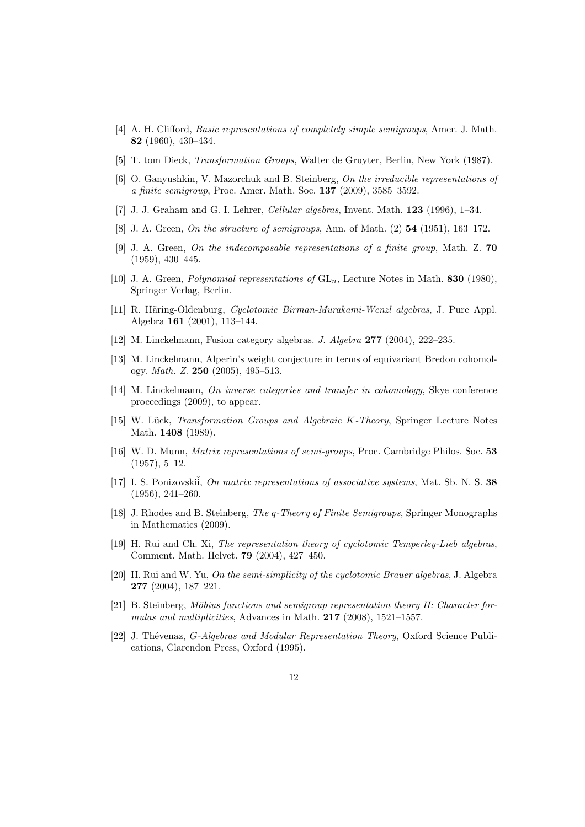- [4] A. H. Clifford, *Basic representations of completely simple semigroups*, Amer. J. Math. 82 (1960), 430–434.
- [5] T. tom Dieck, *Transformation Groups*, Walter de Gruyter, Berlin, New York (1987).
- [6] O. Ganyushkin, V. Mazorchuk and B. Steinberg, *On the irreducible representations of a finite semigroup*, Proc. Amer. Math. Soc. 137 (2009), 3585–3592.
- [7] J. J. Graham and G. I. Lehrer, *Cellular algebras*, Invent. Math. 123 (1996), 1–34.
- [8] J. A. Green, *On the structure of semigroups*, Ann. of Math. (2) 54 (1951), 163–172.
- [9] J. A. Green, *On the indecomposable representations of a finite group*, Math. Z. 70 (1959), 430–445.
- [10] J. A. Green, *Polynomial representations of* GLn, Lecture Notes in Math. 830 (1980), Springer Verlag, Berlin.
- [11] R. Häring-Oldenburg, *Cyclotomic Birman-Murakami-Wenzl algebras*, J. Pure Appl. Algebra 161 (2001), 113–144.
- [12] M. Linckelmann, Fusion category algebras. *J. Algebra* 277 (2004), 222–235.
- [13] M. Linckelmann, Alperin's weight conjecture in terms of equivariant Bredon cohomology. *Math. Z.* 250 (2005), 495–513.
- [14] M. Linckelmann, *On inverse categories and transfer in cohomology*, Skye conference proceedings (2009), to appear.
- [15] W. L¨uck, *Transformation Groups and Algebraic* K*-Theory*, Springer Lecture Notes Math. **1408** (1989).
- [16] W. D. Munn, *Matrix representations of semi-groups*, Proc. Cambridge Philos. Soc. 53 (1957), 5–12.
- [17] I. S. Ponizovskii, *On matrix representations of associative systems*, Mat. Sb. N. S. 38 (1956), 241–260.
- [18] J. Rhodes and B. Steinberg, *The* q*-Theory of Finite Semigroups*, Springer Monographs in Mathematics (2009).
- [19] H. Rui and Ch. Xi, *The representation theory of cyclotomic Temperley-Lieb algebras*, Comment. Math. Helvet. 79 (2004), 427–450.
- [20] H. Rui and W. Yu, *On the semi-simplicity of the cyclotomic Brauer algebras*, J. Algebra 277 (2004), 187–221.
- [21] B. Steinberg, *Möbius functions and semigroup representation theory II: Character formulas and multiplicities*, Advances in Math. 217 (2008), 1521–1557.
- [22] J. Thévenaz, *G-Algebras and Modular Representation Theory*, Oxford Science Publications, Clarendon Press, Oxford (1995).